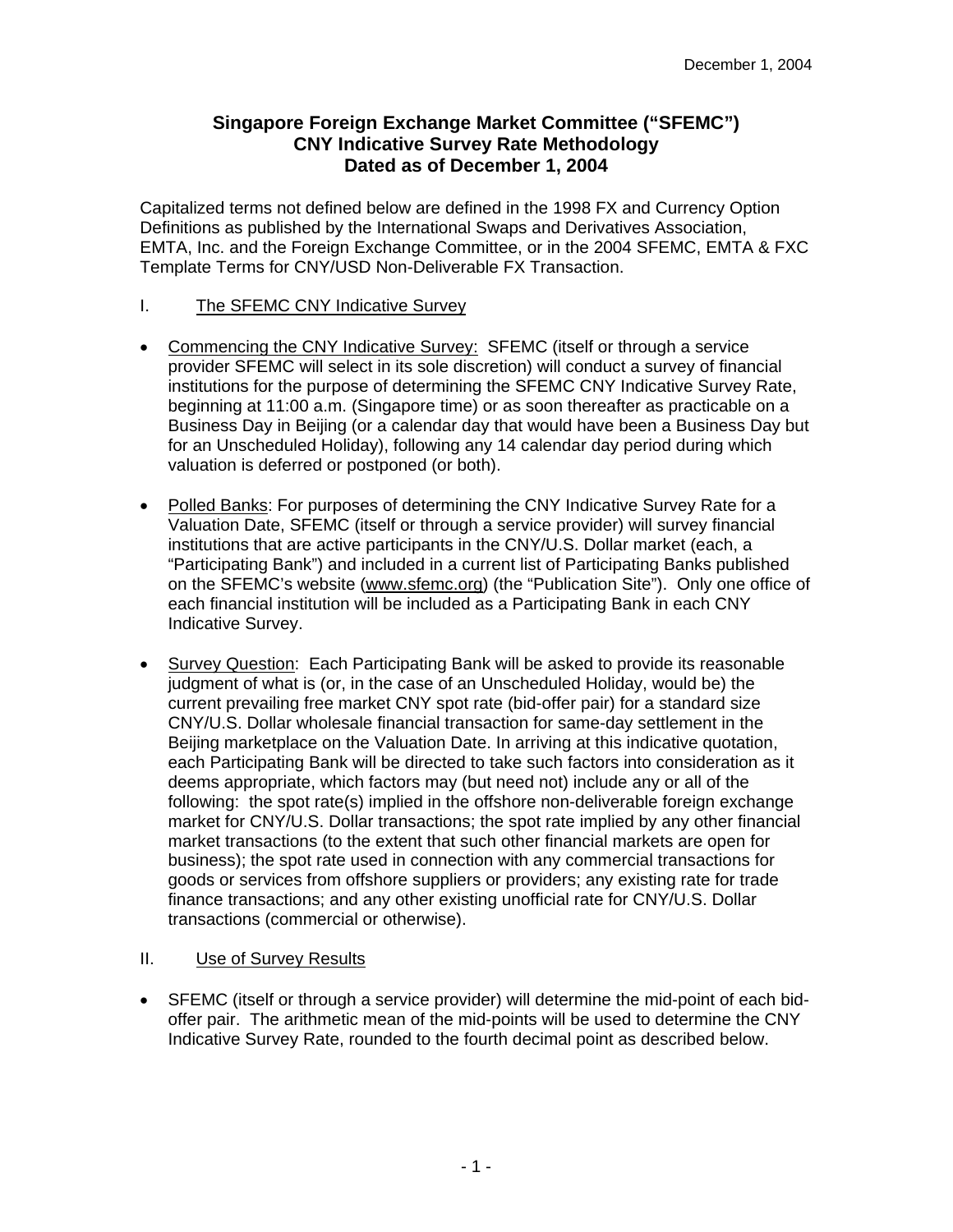# **Singapore Foreign Exchange Market Committee ("SFEMC") CNY Indicative Survey Rate Methodology Dated as of December 1, 2004**

Capitalized terms not defined below are defined in the 1998 FX and Currency Option Definitions as published by the International Swaps and Derivatives Association, EMTA, Inc. and the Foreign Exchange Committee, or in the 2004 SFEMC, EMTA & FXC Template Terms for CNY/USD Non-Deliverable FX Transaction.

## I. The SFEMC CNY Indicative Survey

- Commencing the CNY Indicative Survey: SFEMC (itself or through a service provider SFEMC will select in its sole discretion) will conduct a survey of financial institutions for the purpose of determining the SFEMC CNY Indicative Survey Rate, beginning at 11:00 a.m. (Singapore time) or as soon thereafter as practicable on a Business Day in Beijing (or a calendar day that would have been a Business Day but for an Unscheduled Holiday), following any 14 calendar day period during which valuation is deferred or postponed (or both).
- Polled Banks: For purposes of determining the CNY Indicative Survey Rate for a Valuation Date, SFEMC (itself or through a service provider) will survey financial institutions that are active participants in the CNY/U.S. Dollar market (each, a "Participating Bank") and included in a current list of Participating Banks published on the SFEMC's website (www.sfemc.org) (the "Publication Site"). Only one office of each financial institution will be included as a Participating Bank in each CNY Indicative Survey.
- Survey Question: Each Participating Bank will be asked to provide its reasonable judgment of what is (or, in the case of an Unscheduled Holiday, would be) the current prevailing free market CNY spot rate (bid-offer pair) for a standard size CNY/U.S. Dollar wholesale financial transaction for same-day settlement in the Beijing marketplace on the Valuation Date. In arriving at this indicative quotation, each Participating Bank will be directed to take such factors into consideration as it deems appropriate, which factors may (but need not) include any or all of the following: the spot rate(s) implied in the offshore non-deliverable foreign exchange market for CNY/U.S. Dollar transactions; the spot rate implied by any other financial market transactions (to the extent that such other financial markets are open for business); the spot rate used in connection with any commercial transactions for goods or services from offshore suppliers or providers; any existing rate for trade finance transactions; and any other existing unofficial rate for CNY/U.S. Dollar transactions (commercial or otherwise).

## II. Use of Survey Results

• SFEMC (itself or through a service provider) will determine the mid-point of each bidoffer pair. The arithmetic mean of the mid-points will be used to determine the CNY Indicative Survey Rate, rounded to the fourth decimal point as described below.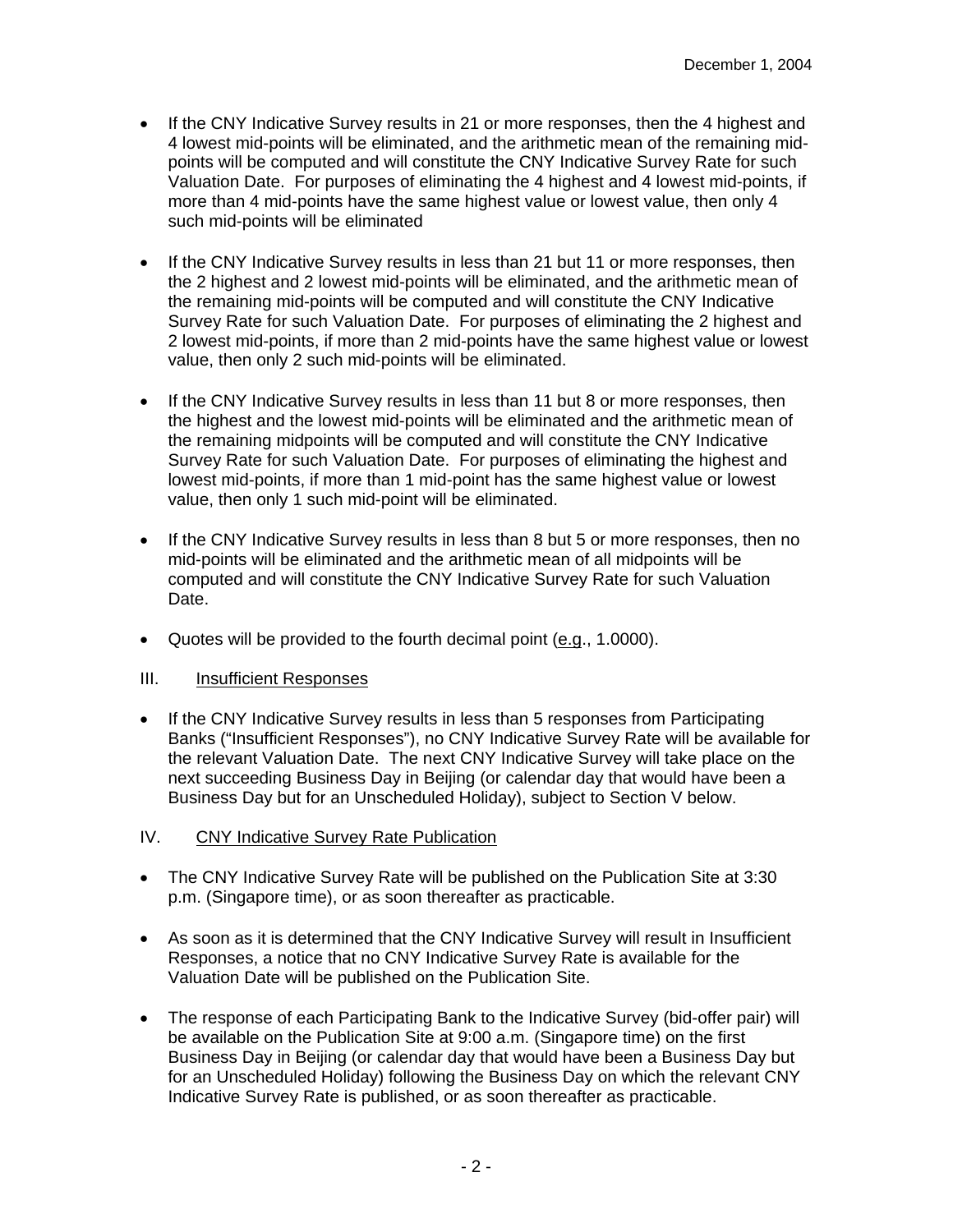- If the CNY Indicative Survey results in 21 or more responses, then the 4 highest and 4 lowest mid-points will be eliminated, and the arithmetic mean of the remaining midpoints will be computed and will constitute the CNY Indicative Survey Rate for such Valuation Date. For purposes of eliminating the 4 highest and 4 lowest mid-points, if more than 4 mid-points have the same highest value or lowest value, then only 4 such mid-points will be eliminated
- If the CNY Indicative Survey results in less than 21 but 11 or more responses, then the 2 highest and 2 lowest mid-points will be eliminated, and the arithmetic mean of the remaining mid-points will be computed and will constitute the CNY Indicative Survey Rate for such Valuation Date. For purposes of eliminating the 2 highest and 2 lowest mid-points, if more than 2 mid-points have the same highest value or lowest value, then only 2 such mid-points will be eliminated.
- If the CNY Indicative Survey results in less than 11 but 8 or more responses, then the highest and the lowest mid-points will be eliminated and the arithmetic mean of the remaining midpoints will be computed and will constitute the CNY Indicative Survey Rate for such Valuation Date. For purposes of eliminating the highest and lowest mid-points, if more than 1 mid-point has the same highest value or lowest value, then only 1 such mid-point will be eliminated.
- If the CNY Indicative Survey results in less than 8 but 5 or more responses, then no mid-points will be eliminated and the arithmetic mean of all midpoints will be computed and will constitute the CNY Indicative Survey Rate for such Valuation Date.
- Quotes will be provided to the fourth decimal point (e.g., 1.0000).

- If the CNY Indicative Survey results in less than 5 responses from Participating Banks ("Insufficient Responses"), no CNY Indicative Survey Rate will be available for the relevant Valuation Date. The next CNY Indicative Survey will take place on the next succeeding Business Day in Beijing (or calendar day that would have been a Business Day but for an Unscheduled Holiday), subject to Section V below.
- IV. CNY Indicative Survey Rate Publication
- The CNY Indicative Survey Rate will be published on the Publication Site at 3:30 p.m. (Singapore time), or as soon thereafter as practicable.
- As soon as it is determined that the CNY Indicative Survey will result in Insufficient Responses, a notice that no CNY Indicative Survey Rate is available for the Valuation Date will be published on the Publication Site.
- The response of each Participating Bank to the Indicative Survey (bid-offer pair) will be available on the Publication Site at 9:00 a.m. (Singapore time) on the first Business Day in Beijing (or calendar day that would have been a Business Day but for an Unscheduled Holiday) following the Business Day on which the relevant CNY Indicative Survey Rate is published, or as soon thereafter as practicable.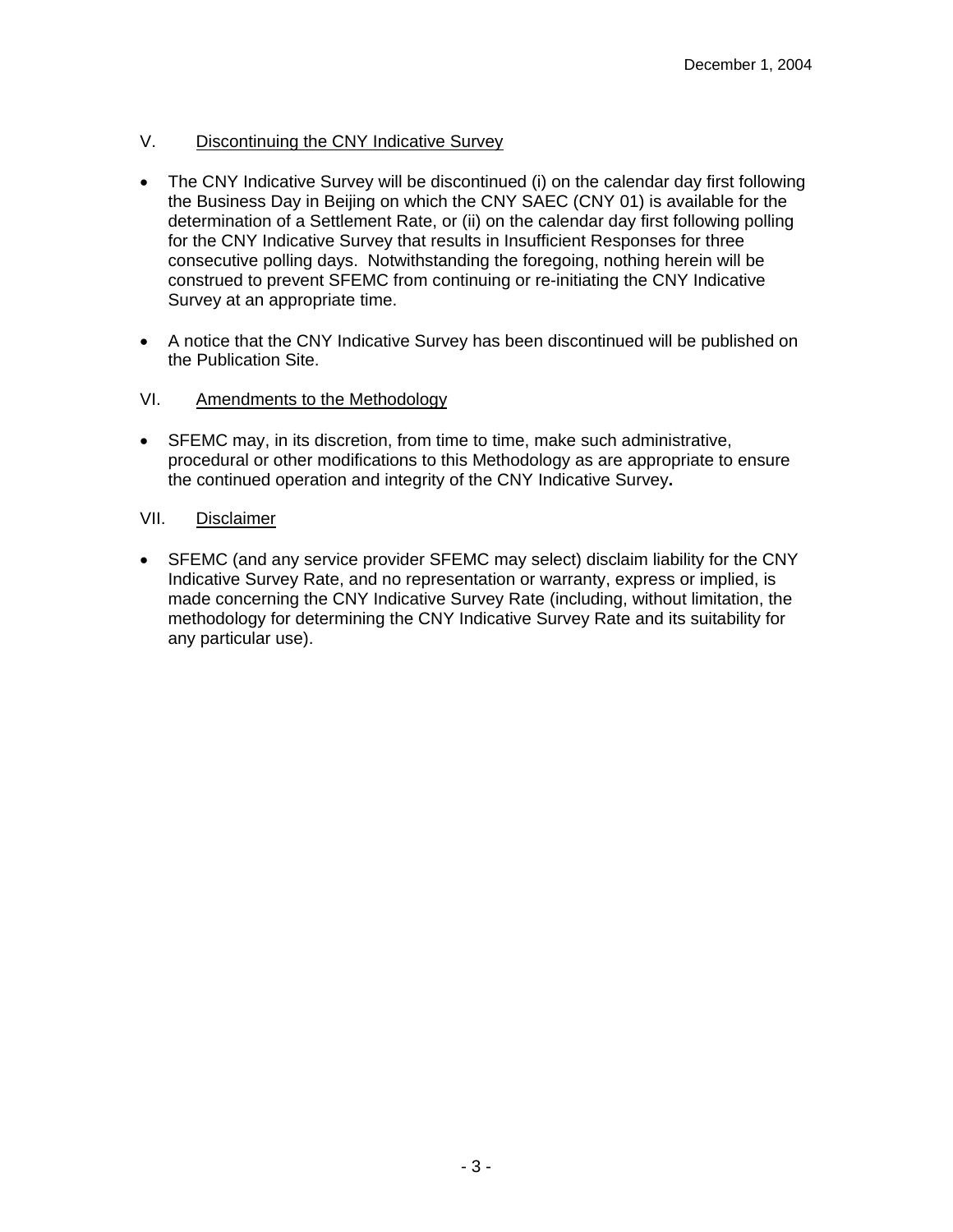# V. Discontinuing the CNY Indicative Survey

- The CNY Indicative Survey will be discontinued (i) on the calendar day first following the Business Day in Beijing on which the CNY SAEC (CNY 01) is available for the determination of a Settlement Rate, or (ii) on the calendar day first following polling for the CNY Indicative Survey that results in Insufficient Responses for three consecutive polling days. Notwithstanding the foregoing, nothing herein will be construed to prevent SFEMC from continuing or re-initiating the CNY Indicative Survey at an appropriate time.
- A notice that the CNY Indicative Survey has been discontinued will be published on the Publication Site.

## VI. Amendments to the Methodology

• SFEMC may, in its discretion, from time to time, make such administrative, procedural or other modifications to this Methodology as are appropriate to ensure the continued operation and integrity of the CNY Indicative Survey**.** 

## VII. Disclaimer

• SFEMC (and any service provider SFEMC may select) disclaim liability for the CNY Indicative Survey Rate, and no representation or warranty, express or implied, is made concerning the CNY Indicative Survey Rate (including, without limitation, the methodology for determining the CNY Indicative Survey Rate and its suitability for any particular use).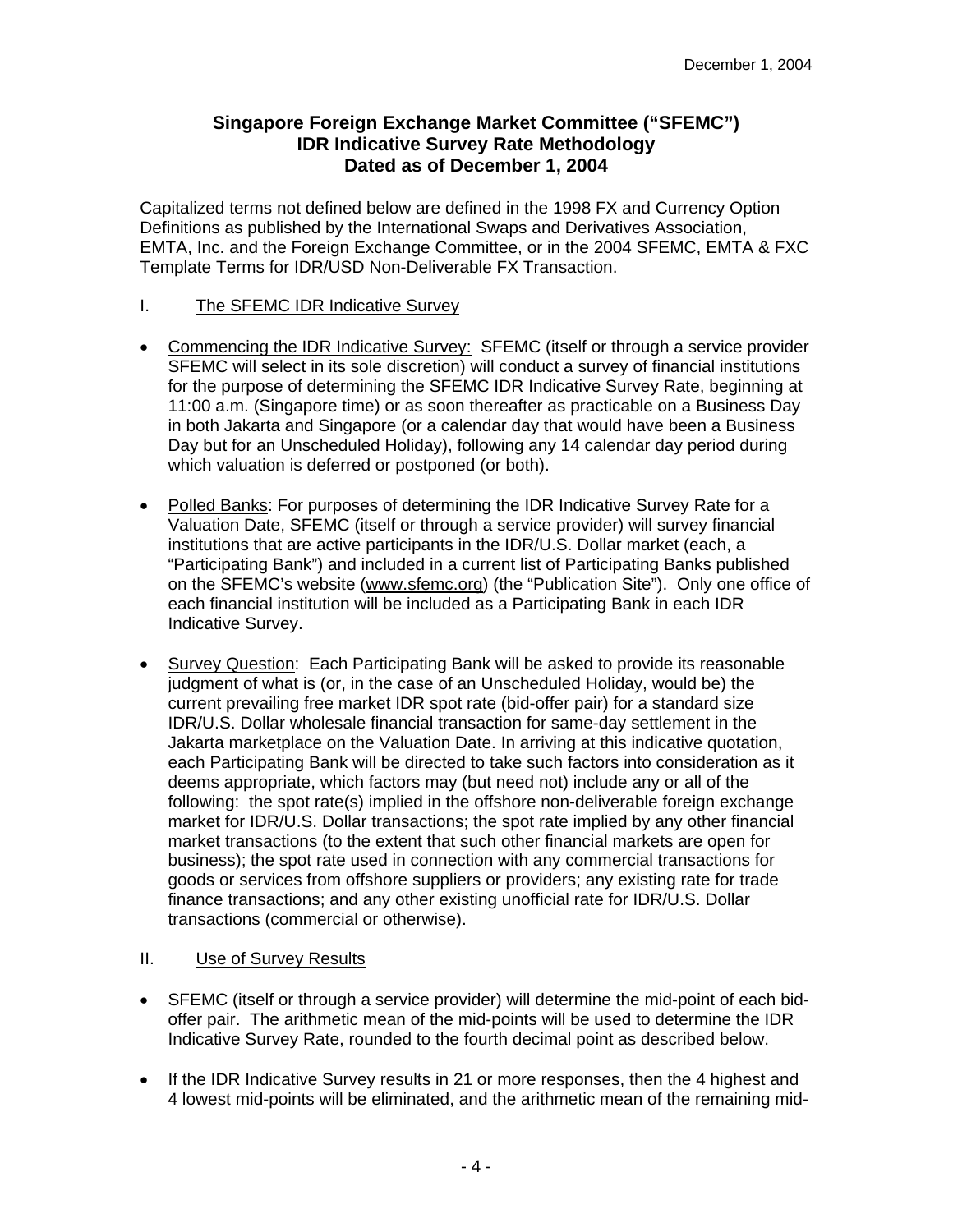# **Singapore Foreign Exchange Market Committee ("SFEMC") IDR Indicative Survey Rate Methodology Dated as of December 1, 2004**

Capitalized terms not defined below are defined in the 1998 FX and Currency Option Definitions as published by the International Swaps and Derivatives Association, EMTA, Inc. and the Foreign Exchange Committee, or in the 2004 SFEMC, EMTA & FXC Template Terms for IDR/USD Non-Deliverable FX Transaction.

## I. The SFEMC IDR Indicative Survey

- Commencing the IDR Indicative Survey: SFEMC (itself or through a service provider SFEMC will select in its sole discretion) will conduct a survey of financial institutions for the purpose of determining the SFEMC IDR Indicative Survey Rate, beginning at 11:00 a.m. (Singapore time) or as soon thereafter as practicable on a Business Day in both Jakarta and Singapore (or a calendar day that would have been a Business Day but for an Unscheduled Holiday), following any 14 calendar day period during which valuation is deferred or postponed (or both).
- Polled Banks: For purposes of determining the IDR Indicative Survey Rate for a Valuation Date, SFEMC (itself or through a service provider) will survey financial institutions that are active participants in the IDR/U.S. Dollar market (each, a "Participating Bank") and included in a current list of Participating Banks published on the SFEMC's website (www.sfemc.org) (the "Publication Site"). Only one office of each financial institution will be included as a Participating Bank in each IDR Indicative Survey.
- Survey Question: Each Participating Bank will be asked to provide its reasonable judgment of what is (or, in the case of an Unscheduled Holiday, would be) the current prevailing free market IDR spot rate (bid-offer pair) for a standard size IDR/U.S. Dollar wholesale financial transaction for same-day settlement in the Jakarta marketplace on the Valuation Date. In arriving at this indicative quotation, each Participating Bank will be directed to take such factors into consideration as it deems appropriate, which factors may (but need not) include any or all of the following: the spot rate(s) implied in the offshore non-deliverable foreign exchange market for IDR/U.S. Dollar transactions; the spot rate implied by any other financial market transactions (to the extent that such other financial markets are open for business); the spot rate used in connection with any commercial transactions for goods or services from offshore suppliers or providers; any existing rate for trade finance transactions; and any other existing unofficial rate for IDR/U.S. Dollar transactions (commercial or otherwise).

- SFEMC (itself or through a service provider) will determine the mid-point of each bidoffer pair. The arithmetic mean of the mid-points will be used to determine the IDR Indicative Survey Rate, rounded to the fourth decimal point as described below.
- If the IDR Indicative Survey results in 21 or more responses, then the 4 highest and 4 lowest mid-points will be eliminated, and the arithmetic mean of the remaining mid-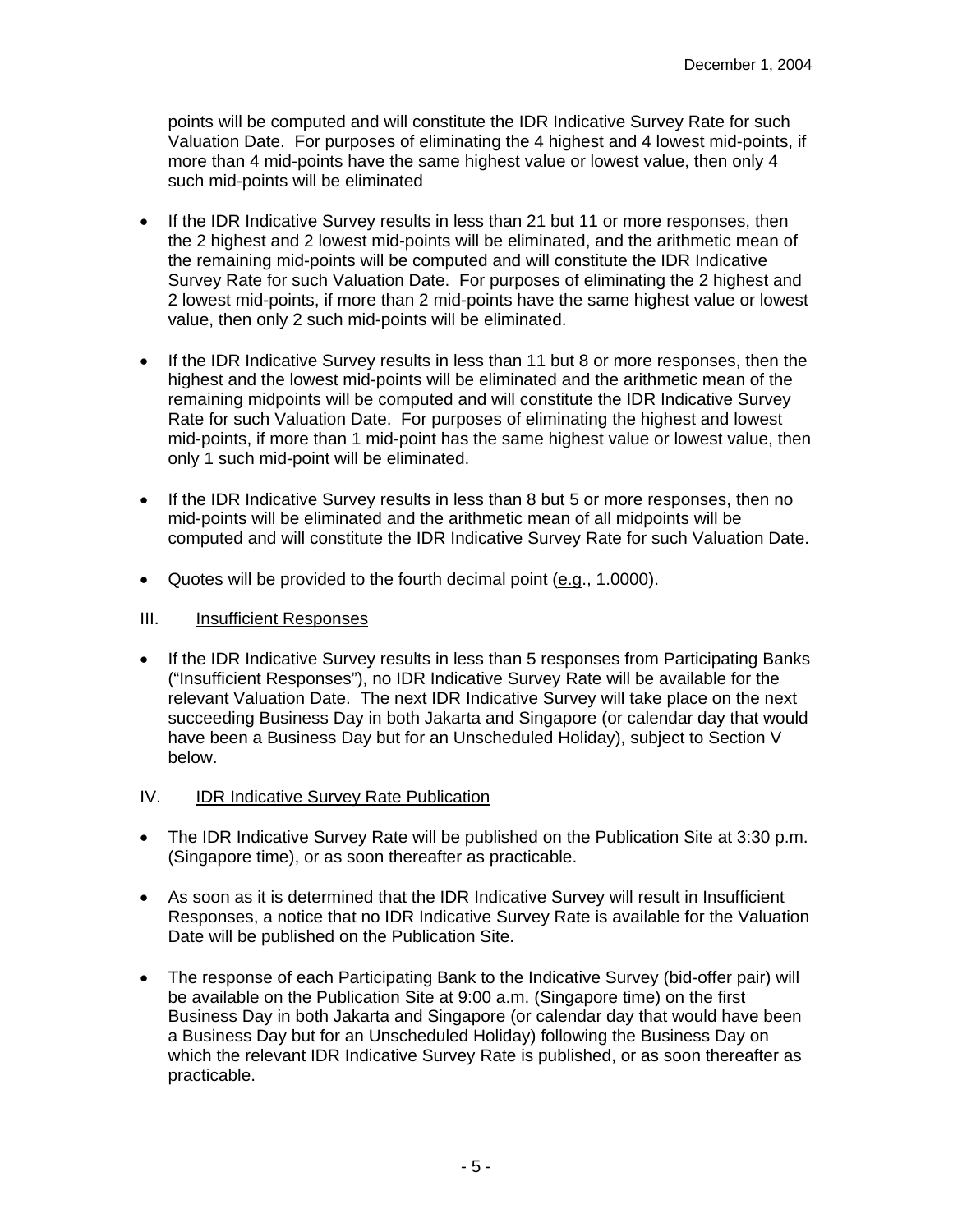points will be computed and will constitute the IDR Indicative Survey Rate for such Valuation Date. For purposes of eliminating the 4 highest and 4 lowest mid-points, if more than 4 mid-points have the same highest value or lowest value, then only 4 such mid-points will be eliminated

- If the IDR Indicative Survey results in less than 21 but 11 or more responses, then the 2 highest and 2 lowest mid-points will be eliminated, and the arithmetic mean of the remaining mid-points will be computed and will constitute the IDR Indicative Survey Rate for such Valuation Date. For purposes of eliminating the 2 highest and 2 lowest mid-points, if more than 2 mid-points have the same highest value or lowest value, then only 2 such mid-points will be eliminated.
- If the IDR Indicative Survey results in less than 11 but 8 or more responses, then the highest and the lowest mid-points will be eliminated and the arithmetic mean of the remaining midpoints will be computed and will constitute the IDR Indicative Survey Rate for such Valuation Date. For purposes of eliminating the highest and lowest mid-points, if more than 1 mid-point has the same highest value or lowest value, then only 1 such mid-point will be eliminated.
- If the IDR Indicative Survey results in less than 8 but 5 or more responses, then no mid-points will be eliminated and the arithmetic mean of all midpoints will be computed and will constitute the IDR Indicative Survey Rate for such Valuation Date.
- Quotes will be provided to the fourth decimal point (e.g., 1.0000).

## III. Insufficient Responses

• If the IDR Indicative Survey results in less than 5 responses from Participating Banks ("Insufficient Responses"), no IDR Indicative Survey Rate will be available for the relevant Valuation Date. The next IDR Indicative Survey will take place on the next succeeding Business Day in both Jakarta and Singapore (or calendar day that would have been a Business Day but for an Unscheduled Holiday), subject to Section V below.

# IV. IDR Indicative Survey Rate Publication

- The IDR Indicative Survey Rate will be published on the Publication Site at 3:30 p.m. (Singapore time), or as soon thereafter as practicable.
- As soon as it is determined that the IDR Indicative Survey will result in Insufficient Responses, a notice that no IDR Indicative Survey Rate is available for the Valuation Date will be published on the Publication Site.
- The response of each Participating Bank to the Indicative Survey (bid-offer pair) will be available on the Publication Site at 9:00 a.m. (Singapore time) on the first Business Day in both Jakarta and Singapore (or calendar day that would have been a Business Day but for an Unscheduled Holiday) following the Business Day on which the relevant IDR Indicative Survey Rate is published, or as soon thereafter as practicable.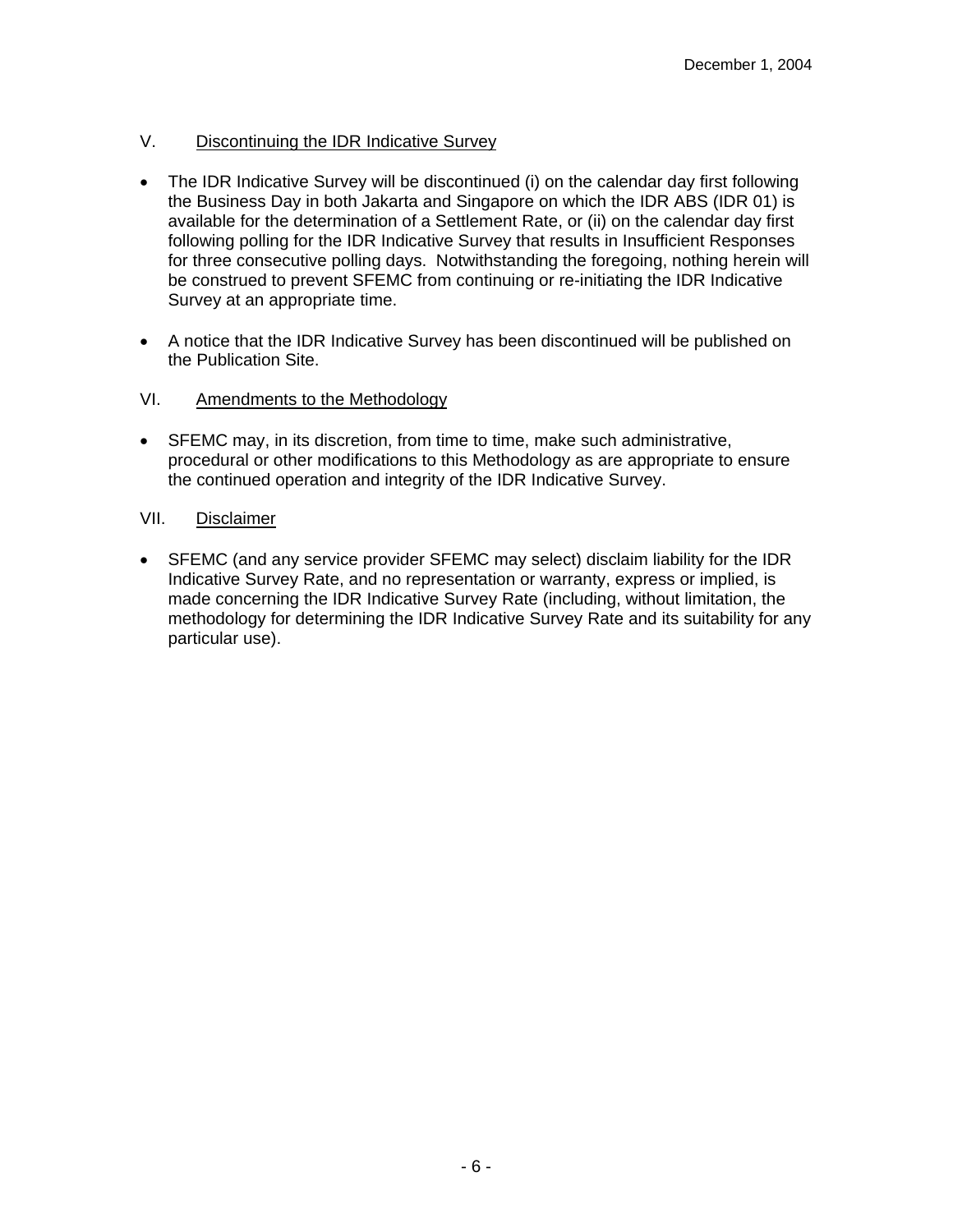# V. Discontinuing the IDR Indicative Survey

- The IDR Indicative Survey will be discontinued (i) on the calendar day first following the Business Day in both Jakarta and Singapore on which the IDR ABS (IDR 01) is available for the determination of a Settlement Rate, or (ii) on the calendar day first following polling for the IDR Indicative Survey that results in Insufficient Responses for three consecutive polling days. Notwithstanding the foregoing, nothing herein will be construed to prevent SFEMC from continuing or re-initiating the IDR Indicative Survey at an appropriate time.
- A notice that the IDR Indicative Survey has been discontinued will be published on the Publication Site.

# VI. Amendments to the Methodology

• SFEMC may, in its discretion, from time to time, make such administrative, procedural or other modifications to this Methodology as are appropriate to ensure the continued operation and integrity of the IDR Indicative Survey.

# VII. Disclaimer

• SFEMC (and any service provider SFEMC may select) disclaim liability for the IDR Indicative Survey Rate, and no representation or warranty, express or implied, is made concerning the IDR Indicative Survey Rate (including, without limitation, the methodology for determining the IDR Indicative Survey Rate and its suitability for any particular use).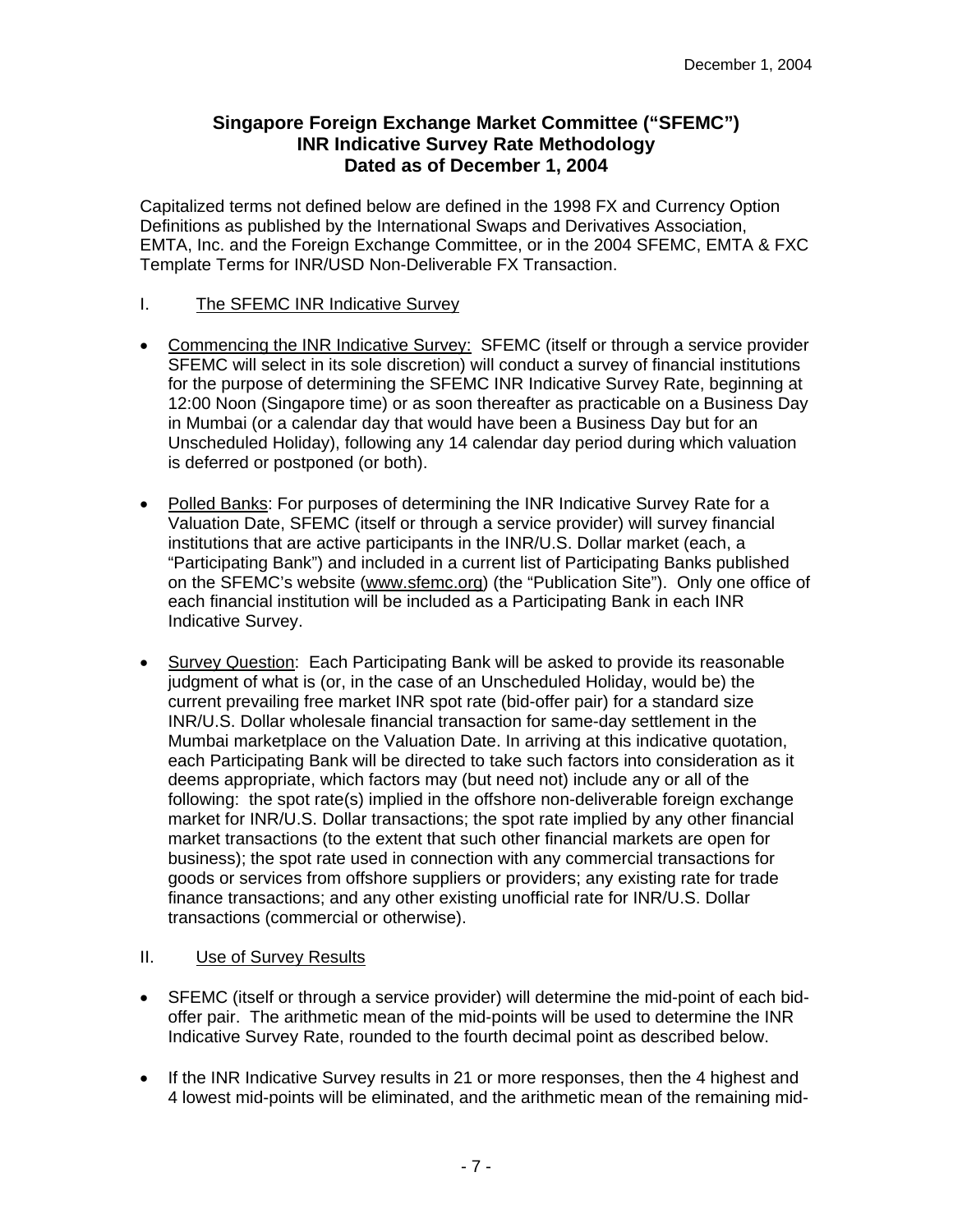# **Singapore Foreign Exchange Market Committee ("SFEMC") INR Indicative Survey Rate Methodology Dated as of December 1, 2004**

Capitalized terms not defined below are defined in the 1998 FX and Currency Option Definitions as published by the International Swaps and Derivatives Association, EMTA, Inc. and the Foreign Exchange Committee, or in the 2004 SFEMC, EMTA & FXC Template Terms for INR/USD Non-Deliverable FX Transaction.

## I. The SFEMC INR Indicative Survey

- Commencing the INR Indicative Survey: SFEMC (itself or through a service provider SFEMC will select in its sole discretion) will conduct a survey of financial institutions for the purpose of determining the SFEMC INR Indicative Survey Rate, beginning at 12:00 Noon (Singapore time) or as soon thereafter as practicable on a Business Day in Mumbai (or a calendar day that would have been a Business Day but for an Unscheduled Holiday), following any 14 calendar day period during which valuation is deferred or postponed (or both).
- Polled Banks: For purposes of determining the INR Indicative Survey Rate for a Valuation Date, SFEMC (itself or through a service provider) will survey financial institutions that are active participants in the INR/U.S. Dollar market (each, a "Participating Bank") and included in a current list of Participating Banks published on the SFEMC's website (www.sfemc.org) (the "Publication Site"). Only one office of each financial institution will be included as a Participating Bank in each INR Indicative Survey.
- Survey Question: Each Participating Bank will be asked to provide its reasonable judgment of what is (or, in the case of an Unscheduled Holiday, would be) the current prevailing free market INR spot rate (bid-offer pair) for a standard size INR/U.S. Dollar wholesale financial transaction for same-day settlement in the Mumbai marketplace on the Valuation Date. In arriving at this indicative quotation, each Participating Bank will be directed to take such factors into consideration as it deems appropriate, which factors may (but need not) include any or all of the following: the spot rate(s) implied in the offshore non-deliverable foreign exchange market for INR/U.S. Dollar transactions; the spot rate implied by any other financial market transactions (to the extent that such other financial markets are open for business); the spot rate used in connection with any commercial transactions for goods or services from offshore suppliers or providers; any existing rate for trade finance transactions; and any other existing unofficial rate for INR/U.S. Dollar transactions (commercial or otherwise).

- SFEMC (itself or through a service provider) will determine the mid-point of each bidoffer pair. The arithmetic mean of the mid-points will be used to determine the INR Indicative Survey Rate, rounded to the fourth decimal point as described below.
- If the INR Indicative Survey results in 21 or more responses, then the 4 highest and 4 lowest mid-points will be eliminated, and the arithmetic mean of the remaining mid-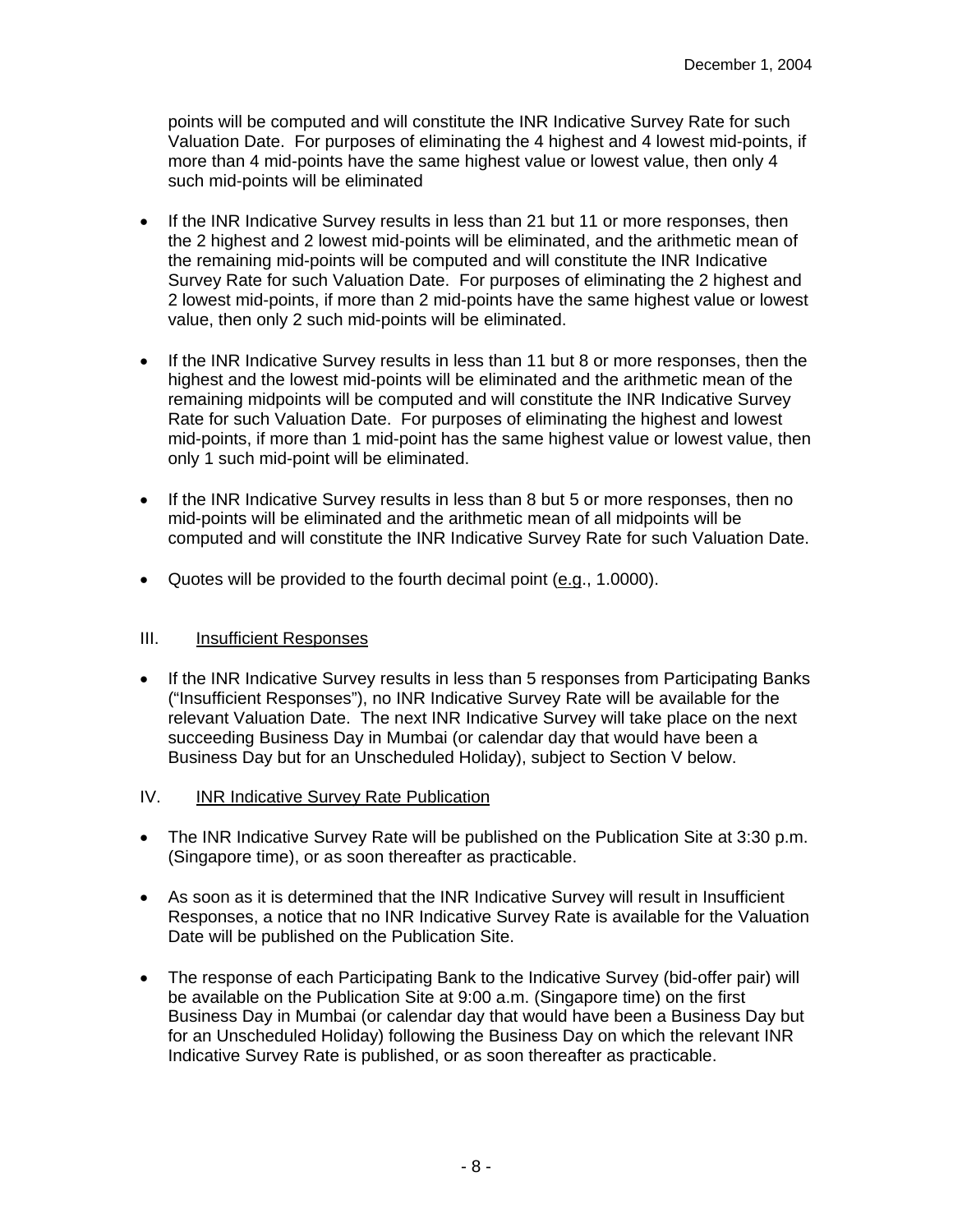points will be computed and will constitute the INR Indicative Survey Rate for such Valuation Date. For purposes of eliminating the 4 highest and 4 lowest mid-points, if more than 4 mid-points have the same highest value or lowest value, then only 4 such mid-points will be eliminated

- If the INR Indicative Survey results in less than 21 but 11 or more responses, then the 2 highest and 2 lowest mid-points will be eliminated, and the arithmetic mean of the remaining mid-points will be computed and will constitute the INR Indicative Survey Rate for such Valuation Date. For purposes of eliminating the 2 highest and 2 lowest mid-points, if more than 2 mid-points have the same highest value or lowest value, then only 2 such mid-points will be eliminated.
- If the INR Indicative Survey results in less than 11 but 8 or more responses, then the highest and the lowest mid-points will be eliminated and the arithmetic mean of the remaining midpoints will be computed and will constitute the INR Indicative Survey Rate for such Valuation Date. For purposes of eliminating the highest and lowest mid-points, if more than 1 mid-point has the same highest value or lowest value, then only 1 such mid-point will be eliminated.
- If the INR Indicative Survey results in less than 8 but 5 or more responses, then no mid-points will be eliminated and the arithmetic mean of all midpoints will be computed and will constitute the INR Indicative Survey Rate for such Valuation Date.
- Quotes will be provided to the fourth decimal point  $(e.g., 1.0000)$ .

- If the INR Indicative Survey results in less than 5 responses from Participating Banks ("Insufficient Responses"), no INR Indicative Survey Rate will be available for the relevant Valuation Date. The next INR Indicative Survey will take place on the next succeeding Business Day in Mumbai (or calendar day that would have been a Business Day but for an Unscheduled Holiday), subject to Section V below.
- IV. INR Indicative Survey Rate Publication
- The INR Indicative Survey Rate will be published on the Publication Site at 3:30 p.m. (Singapore time), or as soon thereafter as practicable.
- As soon as it is determined that the INR Indicative Survey will result in Insufficient Responses, a notice that no INR Indicative Survey Rate is available for the Valuation Date will be published on the Publication Site.
- The response of each Participating Bank to the Indicative Survey (bid-offer pair) will be available on the Publication Site at 9:00 a.m. (Singapore time) on the first Business Day in Mumbai (or calendar day that would have been a Business Day but for an Unscheduled Holiday) following the Business Day on which the relevant INR Indicative Survey Rate is published, or as soon thereafter as practicable.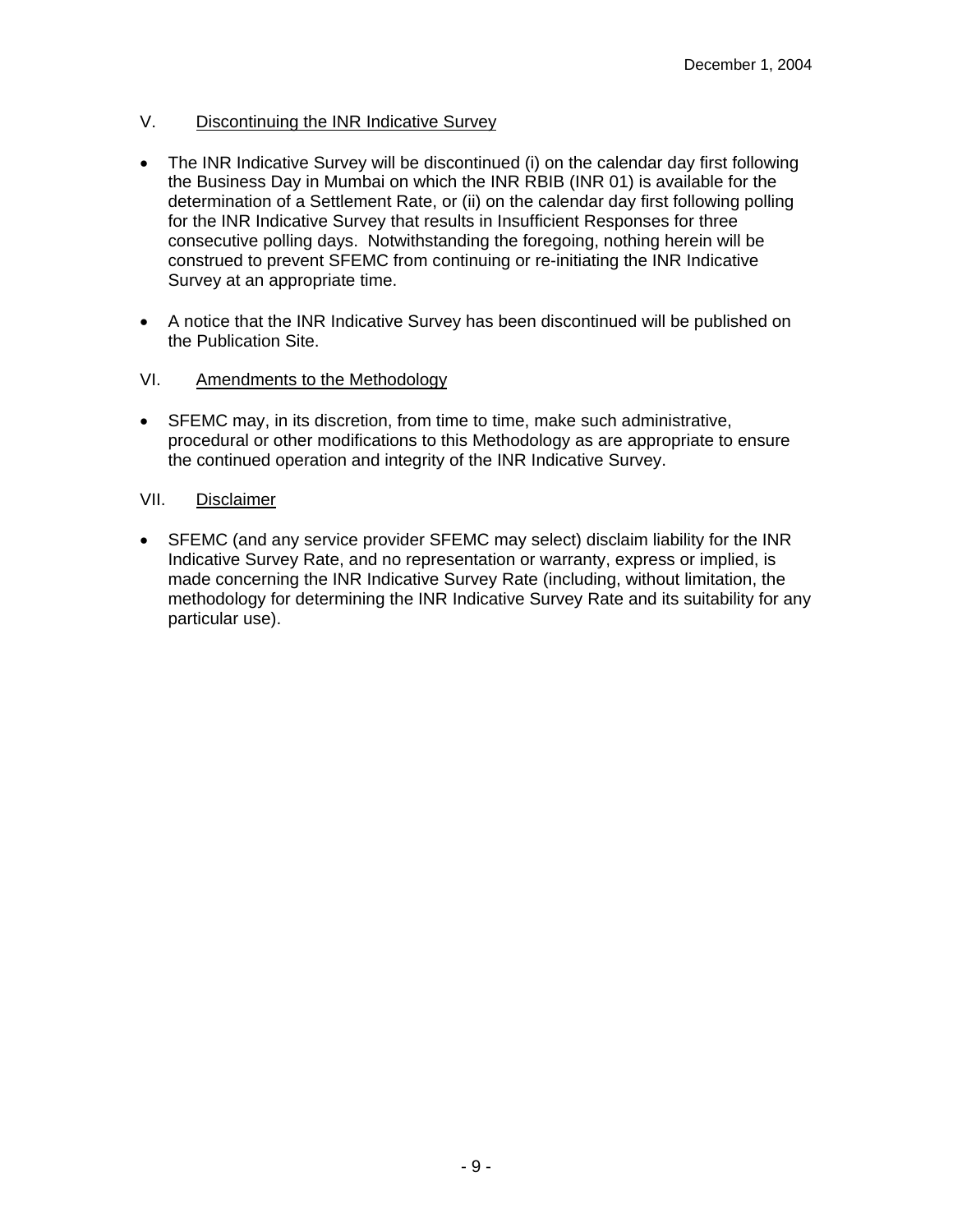# V. Discontinuing the INR Indicative Survey

- The INR Indicative Survey will be discontinued (i) on the calendar day first following the Business Day in Mumbai on which the INR RBIB (INR 01) is available for the determination of a Settlement Rate, or (ii) on the calendar day first following polling for the INR Indicative Survey that results in Insufficient Responses for three consecutive polling days. Notwithstanding the foregoing, nothing herein will be construed to prevent SFEMC from continuing or re-initiating the INR Indicative Survey at an appropriate time.
- A notice that the INR Indicative Survey has been discontinued will be published on the Publication Site.

# VI. Amendments to the Methodology

• SFEMC may, in its discretion, from time to time, make such administrative, procedural or other modifications to this Methodology as are appropriate to ensure the continued operation and integrity of the INR Indicative Survey.

## VII. Disclaimer

• SFEMC (and any service provider SFEMC may select) disclaim liability for the INR Indicative Survey Rate, and no representation or warranty, express or implied, is made concerning the INR Indicative Survey Rate (including, without limitation, the methodology for determining the INR Indicative Survey Rate and its suitability for any particular use).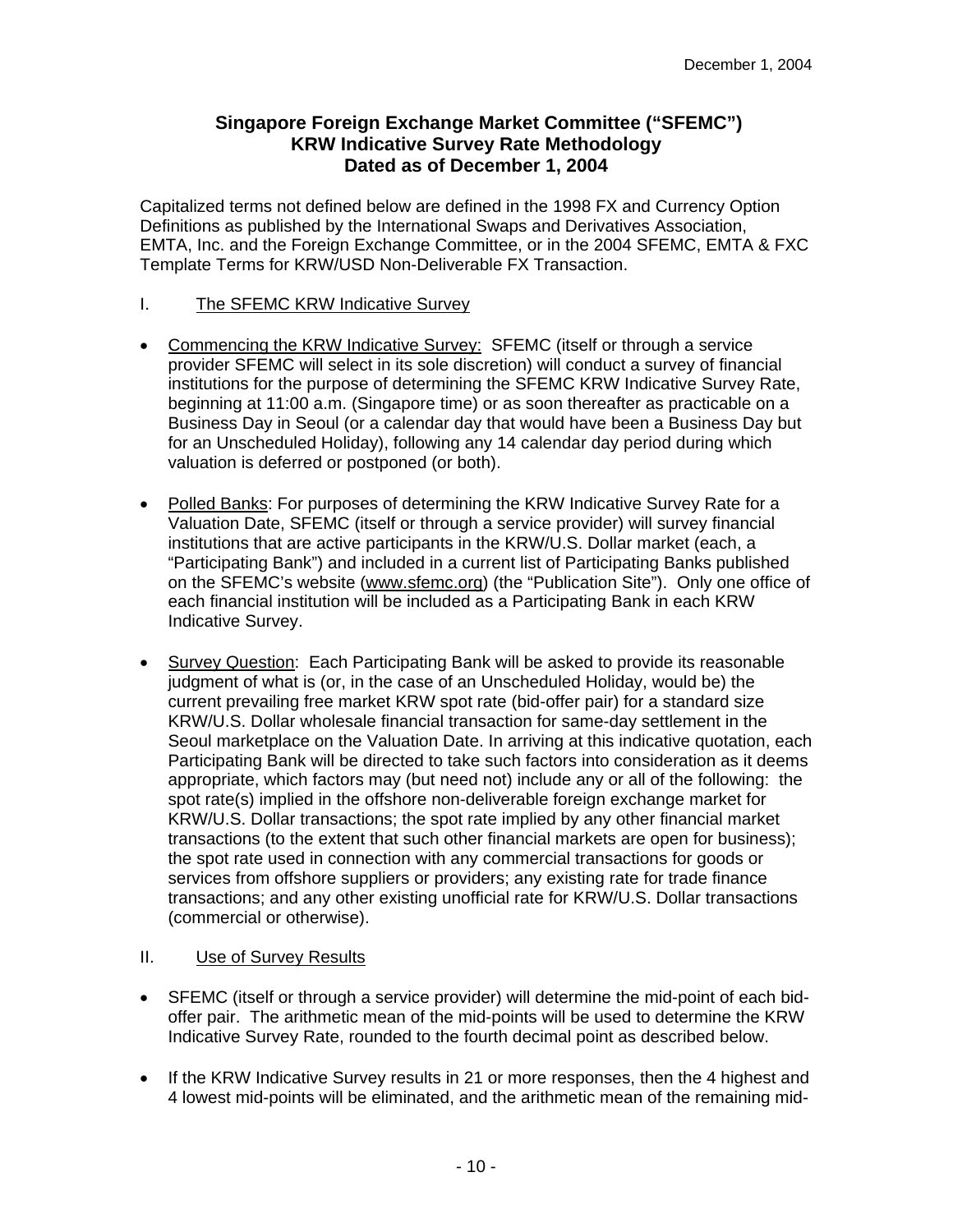# **Singapore Foreign Exchange Market Committee ("SFEMC") KRW Indicative Survey Rate Methodology Dated as of December 1, 2004**

Capitalized terms not defined below are defined in the 1998 FX and Currency Option Definitions as published by the International Swaps and Derivatives Association, EMTA, Inc. and the Foreign Exchange Committee, or in the 2004 SFEMC, EMTA & FXC Template Terms for KRW/USD Non-Deliverable FX Transaction.

## I. The SFEMC KRW Indicative Survey

- Commencing the KRW Indicative Survey: SFEMC (itself or through a service provider SFEMC will select in its sole discretion) will conduct a survey of financial institutions for the purpose of determining the SFEMC KRW Indicative Survey Rate, beginning at 11:00 a.m. (Singapore time) or as soon thereafter as practicable on a Business Day in Seoul (or a calendar day that would have been a Business Day but for an Unscheduled Holiday), following any 14 calendar day period during which valuation is deferred or postponed (or both).
- Polled Banks: For purposes of determining the KRW Indicative Survey Rate for a Valuation Date, SFEMC (itself or through a service provider) will survey financial institutions that are active participants in the KRW/U.S. Dollar market (each, a "Participating Bank") and included in a current list of Participating Banks published on the SFEMC's website (www.sfemc.org) (the "Publication Site"). Only one office of each financial institution will be included as a Participating Bank in each KRW Indicative Survey.
- Survey Question: Each Participating Bank will be asked to provide its reasonable judgment of what is (or, in the case of an Unscheduled Holiday, would be) the current prevailing free market KRW spot rate (bid-offer pair) for a standard size KRW/U.S. Dollar wholesale financial transaction for same-day settlement in the Seoul marketplace on the Valuation Date. In arriving at this indicative quotation, each Participating Bank will be directed to take such factors into consideration as it deems appropriate, which factors may (but need not) include any or all of the following: the spot rate(s) implied in the offshore non-deliverable foreign exchange market for KRW/U.S. Dollar transactions; the spot rate implied by any other financial market transactions (to the extent that such other financial markets are open for business); the spot rate used in connection with any commercial transactions for goods or services from offshore suppliers or providers; any existing rate for trade finance transactions; and any other existing unofficial rate for KRW/U.S. Dollar transactions (commercial or otherwise).

- SFEMC (itself or through a service provider) will determine the mid-point of each bidoffer pair. The arithmetic mean of the mid-points will be used to determine the KRW Indicative Survey Rate, rounded to the fourth decimal point as described below.
- If the KRW Indicative Survey results in 21 or more responses, then the 4 highest and 4 lowest mid-points will be eliminated, and the arithmetic mean of the remaining mid-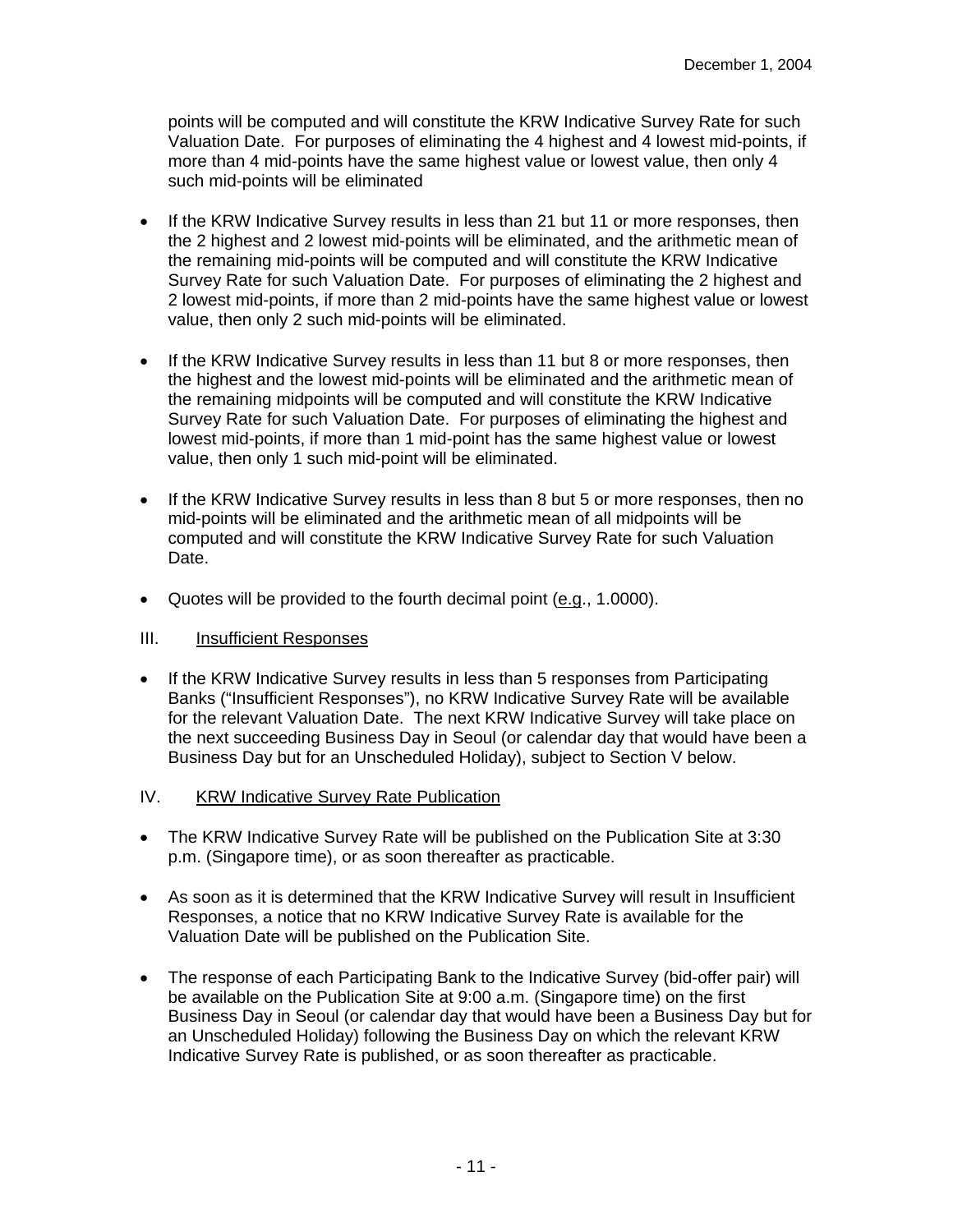points will be computed and will constitute the KRW Indicative Survey Rate for such Valuation Date. For purposes of eliminating the 4 highest and 4 lowest mid-points, if more than 4 mid-points have the same highest value or lowest value, then only 4 such mid-points will be eliminated

- If the KRW Indicative Survey results in less than 21 but 11 or more responses, then the 2 highest and 2 lowest mid-points will be eliminated, and the arithmetic mean of the remaining mid-points will be computed and will constitute the KRW Indicative Survey Rate for such Valuation Date. For purposes of eliminating the 2 highest and 2 lowest mid-points, if more than 2 mid-points have the same highest value or lowest value, then only 2 such mid-points will be eliminated.
- If the KRW Indicative Survey results in less than 11 but 8 or more responses, then the highest and the lowest mid-points will be eliminated and the arithmetic mean of the remaining midpoints will be computed and will constitute the KRW Indicative Survey Rate for such Valuation Date. For purposes of eliminating the highest and lowest mid-points, if more than 1 mid-point has the same highest value or lowest value, then only 1 such mid-point will be eliminated.
- If the KRW Indicative Survey results in less than 8 but 5 or more responses, then no mid-points will be eliminated and the arithmetic mean of all midpoints will be computed and will constitute the KRW Indicative Survey Rate for such Valuation Date.
- Quotes will be provided to the fourth decimal point (e.g., 1.0000).

- If the KRW Indicative Survey results in less than 5 responses from Participating Banks ("Insufficient Responses"), no KRW Indicative Survey Rate will be available for the relevant Valuation Date. The next KRW Indicative Survey will take place on the next succeeding Business Day in Seoul (or calendar day that would have been a Business Day but for an Unscheduled Holiday), subject to Section V below.
- IV. KRW Indicative Survey Rate Publication
- The KRW Indicative Survey Rate will be published on the Publication Site at 3:30 p.m. (Singapore time), or as soon thereafter as practicable.
- As soon as it is determined that the KRW Indicative Survey will result in Insufficient Responses, a notice that no KRW Indicative Survey Rate is available for the Valuation Date will be published on the Publication Site.
- The response of each Participating Bank to the Indicative Survey (bid-offer pair) will be available on the Publication Site at 9:00 a.m. (Singapore time) on the first Business Day in Seoul (or calendar day that would have been a Business Day but for an Unscheduled Holiday) following the Business Day on which the relevant KRW Indicative Survey Rate is published, or as soon thereafter as practicable.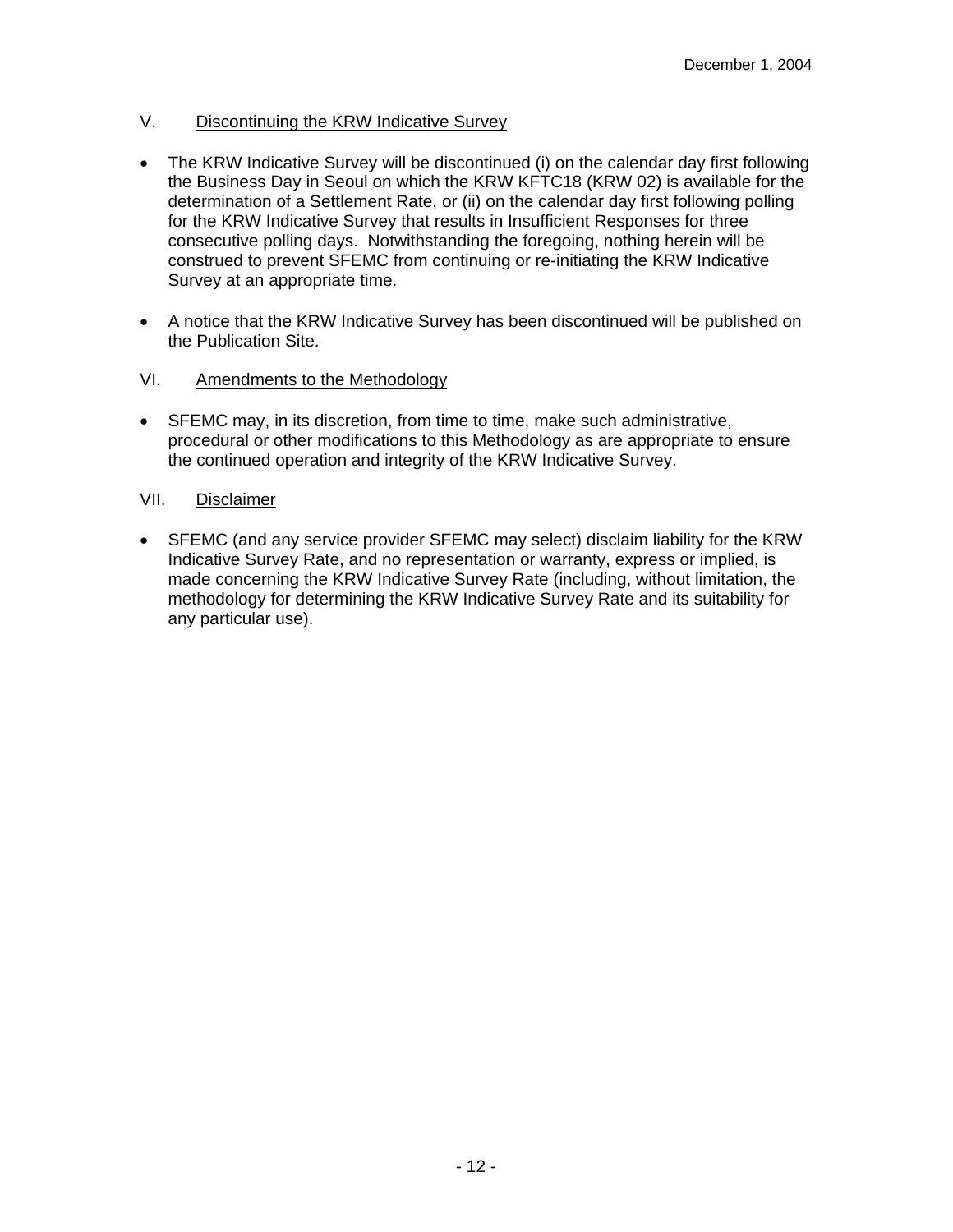# V. Discontinuing the KRW Indicative Survey

- The KRW Indicative Survey will be discontinued (i) on the calendar day first following the Business Day in Seoul on which the KRW KFTC18 (KRW 02) is available for the determination of a Settlement Rate, or (ii) on the calendar day first following polling for the KRW Indicative Survey that results in Insufficient Responses for three consecutive polling days. Notwithstanding the foregoing, nothing herein will be construed to prevent SFEMC from continuing or re-initiating the KRW Indicative Survey at an appropriate time.
- A notice that the KRW Indicative Survey has been discontinued will be published on the Publication Site.

## VI. Amendments to the Methodology

• SFEMC may, in its discretion, from time to time, make such administrative, procedural or other modifications to this Methodology as are appropriate to ensure the continued operation and integrity of the KRW Indicative Survey.

## VII. Disclaimer

• SFEMC (and any service provider SFEMC may select) disclaim liability for the KRW Indicative Survey Rate, and no representation or warranty, express or implied, is made concerning the KRW Indicative Survey Rate (including, without limitation, the methodology for determining the KRW Indicative Survey Rate and its suitability for any particular use).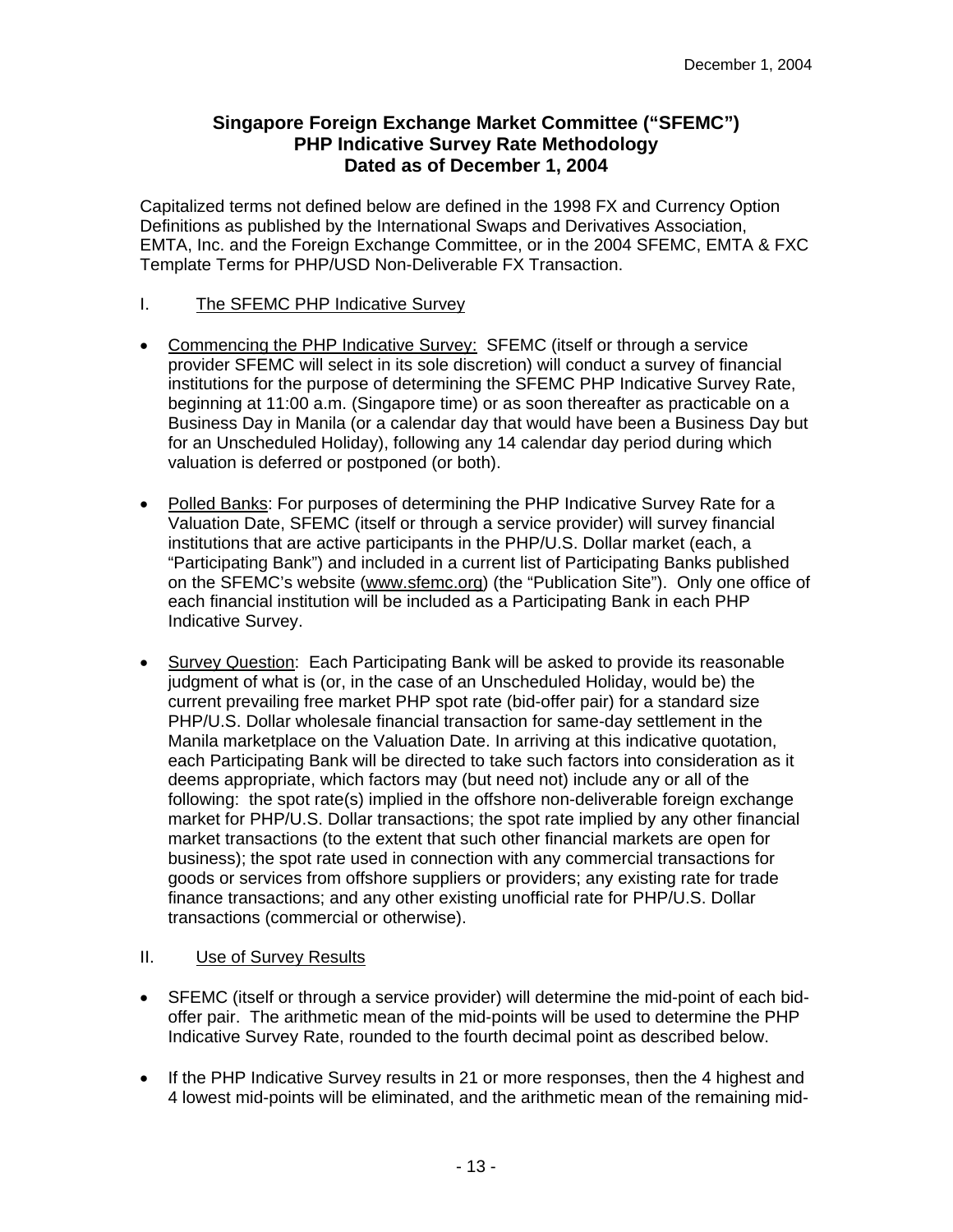# **Singapore Foreign Exchange Market Committee ("SFEMC") PHP Indicative Survey Rate Methodology Dated as of December 1, 2004**

Capitalized terms not defined below are defined in the 1998 FX and Currency Option Definitions as published by the International Swaps and Derivatives Association, EMTA, Inc. and the Foreign Exchange Committee, or in the 2004 SFEMC, EMTA & FXC Template Terms for PHP/USD Non-Deliverable FX Transaction.

## I. The SFEMC PHP Indicative Survey

- Commencing the PHP Indicative Survey: SFEMC (itself or through a service provider SFEMC will select in its sole discretion) will conduct a survey of financial institutions for the purpose of determining the SFEMC PHP Indicative Survey Rate, beginning at 11:00 a.m. (Singapore time) or as soon thereafter as practicable on a Business Day in Manila (or a calendar day that would have been a Business Day but for an Unscheduled Holiday), following any 14 calendar day period during which valuation is deferred or postponed (or both).
- Polled Banks: For purposes of determining the PHP Indicative Survey Rate for a Valuation Date, SFEMC (itself or through a service provider) will survey financial institutions that are active participants in the PHP/U.S. Dollar market (each, a "Participating Bank") and included in a current list of Participating Banks published on the SFEMC's website (www.sfemc.org) (the "Publication Site"). Only one office of each financial institution will be included as a Participating Bank in each PHP Indicative Survey.
- Survey Question: Each Participating Bank will be asked to provide its reasonable judgment of what is (or, in the case of an Unscheduled Holiday, would be) the current prevailing free market PHP spot rate (bid-offer pair) for a standard size PHP/U.S. Dollar wholesale financial transaction for same-day settlement in the Manila marketplace on the Valuation Date. In arriving at this indicative quotation, each Participating Bank will be directed to take such factors into consideration as it deems appropriate, which factors may (but need not) include any or all of the following: the spot rate(s) implied in the offshore non-deliverable foreign exchange market for PHP/U.S. Dollar transactions; the spot rate implied by any other financial market transactions (to the extent that such other financial markets are open for business); the spot rate used in connection with any commercial transactions for goods or services from offshore suppliers or providers; any existing rate for trade finance transactions; and any other existing unofficial rate for PHP/U.S. Dollar transactions (commercial or otherwise).

- SFEMC (itself or through a service provider) will determine the mid-point of each bidoffer pair. The arithmetic mean of the mid-points will be used to determine the PHP Indicative Survey Rate, rounded to the fourth decimal point as described below.
- If the PHP Indicative Survey results in 21 or more responses, then the 4 highest and 4 lowest mid-points will be eliminated, and the arithmetic mean of the remaining mid-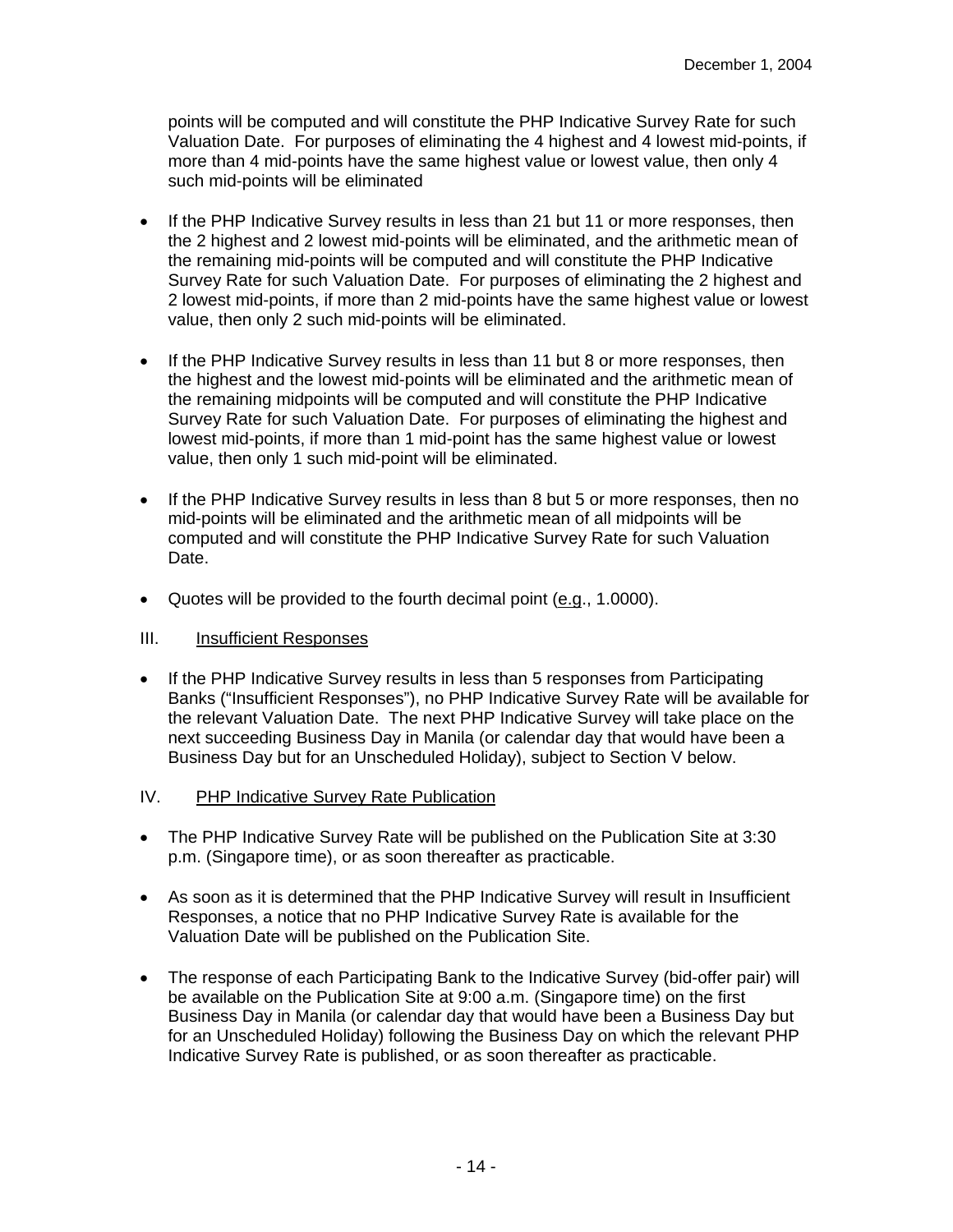points will be computed and will constitute the PHP Indicative Survey Rate for such Valuation Date. For purposes of eliminating the 4 highest and 4 lowest mid-points, if more than 4 mid-points have the same highest value or lowest value, then only 4 such mid-points will be eliminated

- If the PHP Indicative Survey results in less than 21 but 11 or more responses, then the 2 highest and 2 lowest mid-points will be eliminated, and the arithmetic mean of the remaining mid-points will be computed and will constitute the PHP Indicative Survey Rate for such Valuation Date. For purposes of eliminating the 2 highest and 2 lowest mid-points, if more than 2 mid-points have the same highest value or lowest value, then only 2 such mid-points will be eliminated.
- If the PHP Indicative Survey results in less than 11 but 8 or more responses, then the highest and the lowest mid-points will be eliminated and the arithmetic mean of the remaining midpoints will be computed and will constitute the PHP Indicative Survey Rate for such Valuation Date. For purposes of eliminating the highest and lowest mid-points, if more than 1 mid-point has the same highest value or lowest value, then only 1 such mid-point will be eliminated.
- If the PHP Indicative Survey results in less than 8 but 5 or more responses, then no mid-points will be eliminated and the arithmetic mean of all midpoints will be computed and will constitute the PHP Indicative Survey Rate for such Valuation Date.
- Quotes will be provided to the fourth decimal point (e.g., 1.0000).

- If the PHP Indicative Survey results in less than 5 responses from Participating Banks ("Insufficient Responses"), no PHP Indicative Survey Rate will be available for the relevant Valuation Date. The next PHP Indicative Survey will take place on the next succeeding Business Day in Manila (or calendar day that would have been a Business Day but for an Unscheduled Holiday), subject to Section V below.
- IV. PHP Indicative Survey Rate Publication
- The PHP Indicative Survey Rate will be published on the Publication Site at 3:30 p.m. (Singapore time), or as soon thereafter as practicable.
- As soon as it is determined that the PHP Indicative Survey will result in Insufficient Responses, a notice that no PHP Indicative Survey Rate is available for the Valuation Date will be published on the Publication Site.
- The response of each Participating Bank to the Indicative Survey (bid-offer pair) will be available on the Publication Site at 9:00 a.m. (Singapore time) on the first Business Day in Manila (or calendar day that would have been a Business Day but for an Unscheduled Holiday) following the Business Day on which the relevant PHP Indicative Survey Rate is published, or as soon thereafter as practicable.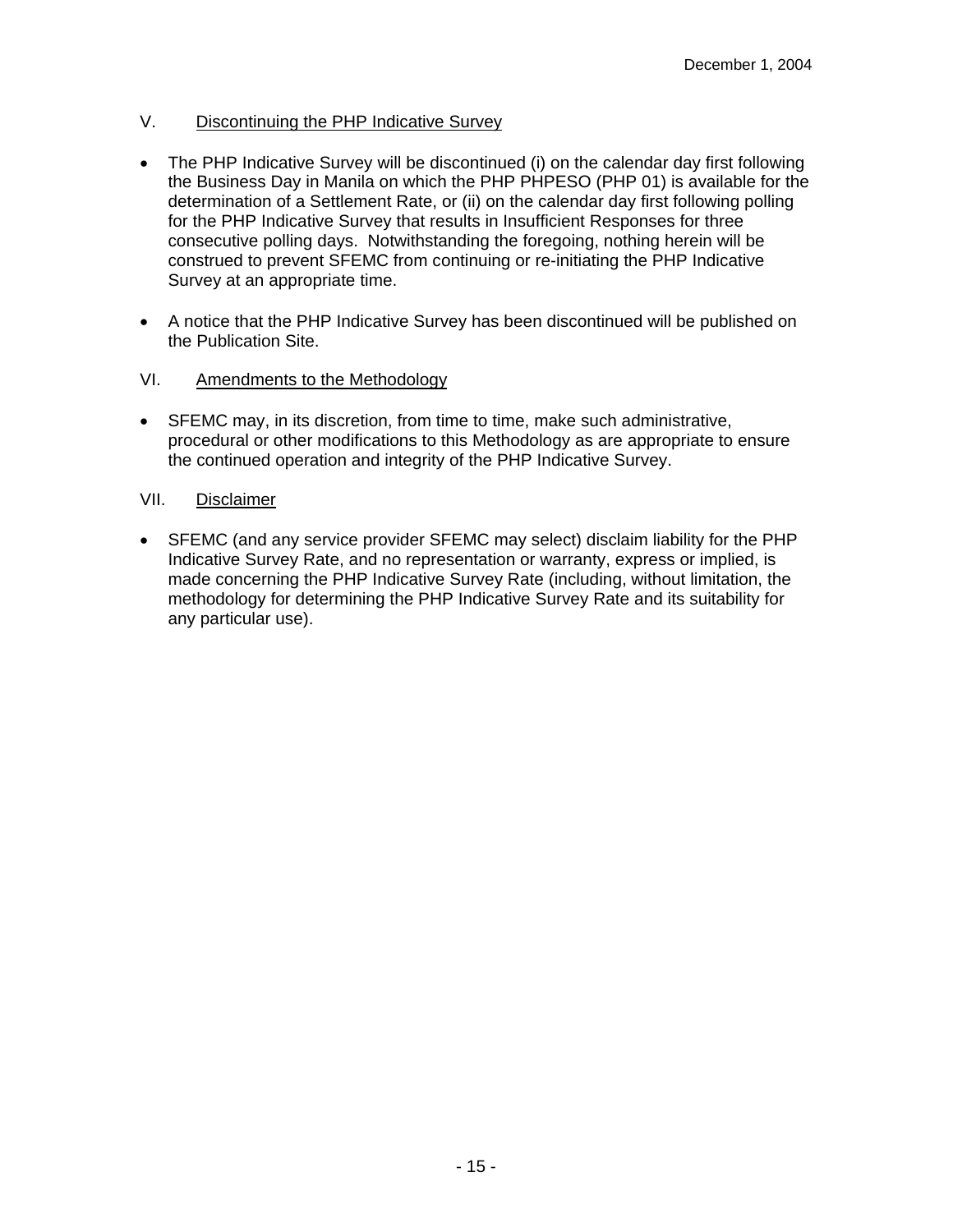# V. Discontinuing the PHP Indicative Survey

- The PHP Indicative Survey will be discontinued (i) on the calendar day first following the Business Day in Manila on which the PHP PHPESO (PHP 01) is available for the determination of a Settlement Rate, or (ii) on the calendar day first following polling for the PHP Indicative Survey that results in Insufficient Responses for three consecutive polling days. Notwithstanding the foregoing, nothing herein will be construed to prevent SFEMC from continuing or re-initiating the PHP Indicative Survey at an appropriate time.
- A notice that the PHP Indicative Survey has been discontinued will be published on the Publication Site.

# VI. Amendments to the Methodology

• SFEMC may, in its discretion, from time to time, make such administrative, procedural or other modifications to this Methodology as are appropriate to ensure the continued operation and integrity of the PHP Indicative Survey.

# VII. Disclaimer

• SFEMC (and any service provider SFEMC may select) disclaim liability for the PHP Indicative Survey Rate, and no representation or warranty, express or implied, is made concerning the PHP Indicative Survey Rate (including, without limitation, the methodology for determining the PHP Indicative Survey Rate and its suitability for any particular use).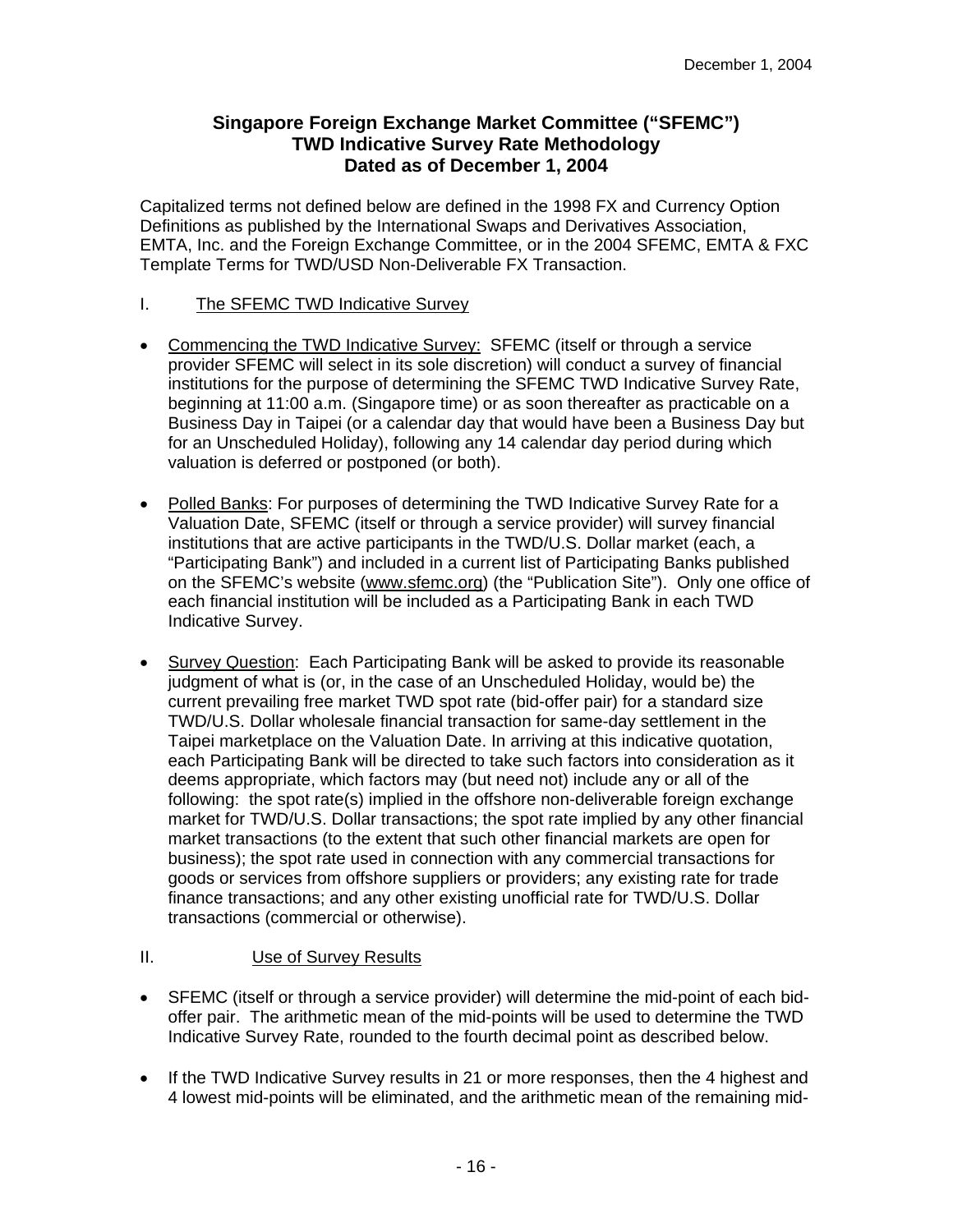# **Singapore Foreign Exchange Market Committee ("SFEMC") TWD Indicative Survey Rate Methodology Dated as of December 1, 2004**

Capitalized terms not defined below are defined in the 1998 FX and Currency Option Definitions as published by the International Swaps and Derivatives Association, EMTA, Inc. and the Foreign Exchange Committee, or in the 2004 SFEMC, EMTA & FXC Template Terms for TWD/USD Non-Deliverable FX Transaction.

## I. The SFEMC TWD Indicative Survey

- Commencing the TWD Indicative Survey: SFEMC (itself or through a service provider SFEMC will select in its sole discretion) will conduct a survey of financial institutions for the purpose of determining the SFEMC TWD Indicative Survey Rate, beginning at 11:00 a.m. (Singapore time) or as soon thereafter as practicable on a Business Day in Taipei (or a calendar day that would have been a Business Day but for an Unscheduled Holiday), following any 14 calendar day period during which valuation is deferred or postponed (or both).
- Polled Banks: For purposes of determining the TWD Indicative Survey Rate for a Valuation Date, SFEMC (itself or through a service provider) will survey financial institutions that are active participants in the TWD/U.S. Dollar market (each, a "Participating Bank") and included in a current list of Participating Banks published on the SFEMC's website (www.sfemc.org) (the "Publication Site"). Only one office of each financial institution will be included as a Participating Bank in each TWD Indicative Survey.
- Survey Question: Each Participating Bank will be asked to provide its reasonable judgment of what is (or, in the case of an Unscheduled Holiday, would be) the current prevailing free market TWD spot rate (bid-offer pair) for a standard size TWD/U.S. Dollar wholesale financial transaction for same-day settlement in the Taipei marketplace on the Valuation Date. In arriving at this indicative quotation, each Participating Bank will be directed to take such factors into consideration as it deems appropriate, which factors may (but need not) include any or all of the following: the spot rate(s) implied in the offshore non-deliverable foreign exchange market for TWD/U.S. Dollar transactions; the spot rate implied by any other financial market transactions (to the extent that such other financial markets are open for business); the spot rate used in connection with any commercial transactions for goods or services from offshore suppliers or providers; any existing rate for trade finance transactions; and any other existing unofficial rate for TWD/U.S. Dollar transactions (commercial or otherwise).

- SFEMC (itself or through a service provider) will determine the mid-point of each bidoffer pair. The arithmetic mean of the mid-points will be used to determine the TWD Indicative Survey Rate, rounded to the fourth decimal point as described below.
- If the TWD Indicative Survey results in 21 or more responses, then the 4 highest and 4 lowest mid-points will be eliminated, and the arithmetic mean of the remaining mid-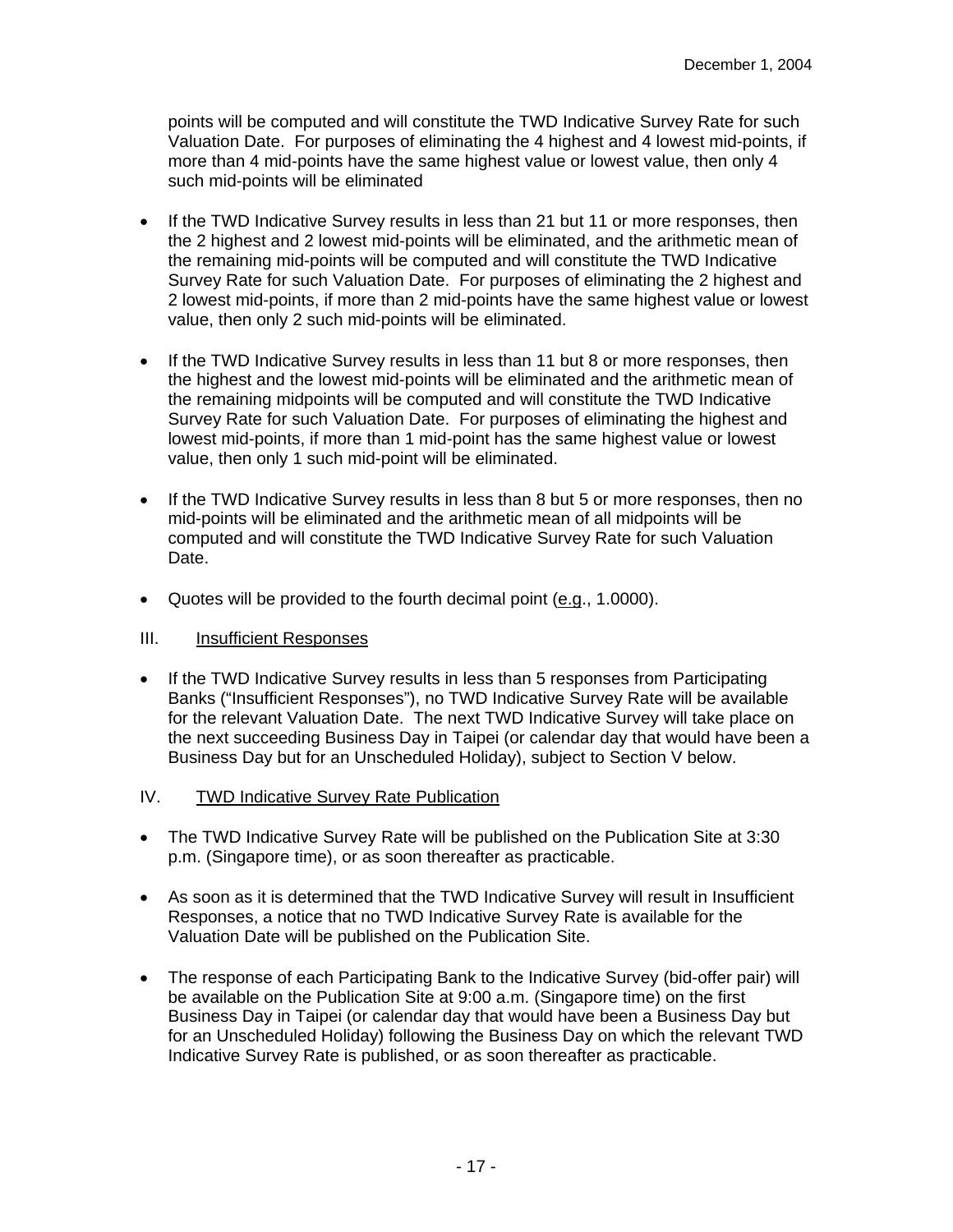points will be computed and will constitute the TWD Indicative Survey Rate for such Valuation Date. For purposes of eliminating the 4 highest and 4 lowest mid-points, if more than 4 mid-points have the same highest value or lowest value, then only 4 such mid-points will be eliminated

- If the TWD Indicative Survey results in less than 21 but 11 or more responses, then the 2 highest and 2 lowest mid-points will be eliminated, and the arithmetic mean of the remaining mid-points will be computed and will constitute the TWD Indicative Survey Rate for such Valuation Date. For purposes of eliminating the 2 highest and 2 lowest mid-points, if more than 2 mid-points have the same highest value or lowest value, then only 2 such mid-points will be eliminated.
- If the TWD Indicative Survey results in less than 11 but 8 or more responses, then the highest and the lowest mid-points will be eliminated and the arithmetic mean of the remaining midpoints will be computed and will constitute the TWD Indicative Survey Rate for such Valuation Date. For purposes of eliminating the highest and lowest mid-points, if more than 1 mid-point has the same highest value or lowest value, then only 1 such mid-point will be eliminated.
- If the TWD Indicative Survey results in less than 8 but 5 or more responses, then no mid-points will be eliminated and the arithmetic mean of all midpoints will be computed and will constitute the TWD Indicative Survey Rate for such Valuation Date.
- Quotes will be provided to the fourth decimal point (e.g., 1.0000).

- If the TWD Indicative Survey results in less than 5 responses from Participating Banks ("Insufficient Responses"), no TWD Indicative Survey Rate will be available for the relevant Valuation Date. The next TWD Indicative Survey will take place on the next succeeding Business Day in Taipei (or calendar day that would have been a Business Day but for an Unscheduled Holiday), subject to Section V below.
- IV. TWD Indicative Survey Rate Publication
- The TWD Indicative Survey Rate will be published on the Publication Site at 3:30 p.m. (Singapore time), or as soon thereafter as practicable.
- As soon as it is determined that the TWD Indicative Survey will result in Insufficient Responses, a notice that no TWD Indicative Survey Rate is available for the Valuation Date will be published on the Publication Site.
- The response of each Participating Bank to the Indicative Survey (bid-offer pair) will be available on the Publication Site at 9:00 a.m. (Singapore time) on the first Business Day in Taipei (or calendar day that would have been a Business Day but for an Unscheduled Holiday) following the Business Day on which the relevant TWD Indicative Survey Rate is published, or as soon thereafter as practicable.